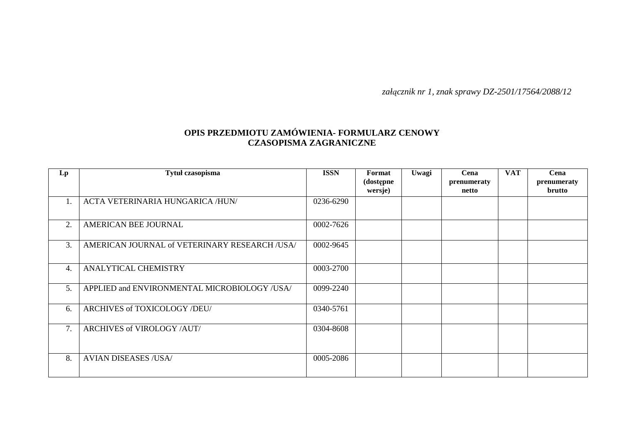*załącznik nr 1, znak sprawy DZ-2501/17564/2088/12* 

## **OPIS PRZEDMIOTU ZAMÓWIENIA- FORMULARZ CENOWY CZASOPISMA ZAGRANICZNE**

| Lp | Tytuł czasopisma                             | <b>ISSN</b> | Format<br>(dostępne | Uwagi | Cena<br>prenumeraty | <b>VAT</b> | Cena<br>prenumeraty |
|----|----------------------------------------------|-------------|---------------------|-------|---------------------|------------|---------------------|
|    |                                              |             | wersje)             |       | netto               |            | brutto              |
| Ι. | ACTA VETERINARIA HUNGARICA /HUN/             | 0236-6290   |                     |       |                     |            |                     |
| 2. | AMERICAN BEE JOURNAL                         | 0002-7626   |                     |       |                     |            |                     |
| 3. | AMERICAN JOURNAL of VETERINARY RESEARCH/USA/ | 0002-9645   |                     |       |                     |            |                     |
| 4. | ANALYTICAL CHEMISTRY                         | 0003-2700   |                     |       |                     |            |                     |
| 5. | APPLIED and ENVIRONMENTAL MICROBIOLOGY /USA/ | 0099-2240   |                     |       |                     |            |                     |
| 6. | ARCHIVES of TOXICOLOGY /DEU/                 | 0340-5761   |                     |       |                     |            |                     |
| 7. | ARCHIVES of VIROLOGY /AUT/                   | 0304-8608   |                     |       |                     |            |                     |
| 8. | <b>AVIAN DISEASES /USA/</b>                  | 0005-2086   |                     |       |                     |            |                     |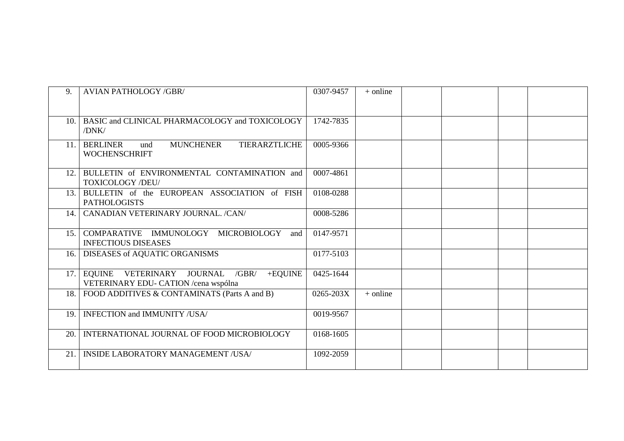| 9.  | <b>AVIAN PATHOLOGY /GBR/</b>                                                               | 0307-9457 | $+$ online |  |  |
|-----|--------------------------------------------------------------------------------------------|-----------|------------|--|--|
|     |                                                                                            |           |            |  |  |
| 10. | BASIC and CLINICAL PHARMACOLOGY and TOXICOLOGY<br>/DNK/                                    | 1742-7835 |            |  |  |
| 11. | <b>TIERARZTLICHE</b><br><b>BERLINER</b><br><b>MUNCHENER</b><br>und<br><b>WOCHENSCHRIFT</b> | 0005-9366 |            |  |  |
| 12. | BULLETIN of ENVIRONMENTAL CONTAMINATION and<br><b>TOXICOLOGY /DEU/</b>                     | 0007-4861 |            |  |  |
| 13. | BULLETIN of the EUROPEAN ASSOCIATION of FISH<br><b>PATHOLOGISTS</b>                        | 0108-0288 |            |  |  |
| 14. | CANADIAN VETERINARY JOURNAL. /CAN/                                                         | 0008-5286 |            |  |  |
| 15. | COMPARATIVE IMMUNOLOGY MICROBIOLOGY<br>and<br><b>INFECTIOUS DISEASES</b>                   | 0147-9571 |            |  |  |
| 16. | DISEASES of AQUATIC ORGANISMS                                                              | 0177-5103 |            |  |  |
|     | 17. EQUINE VETERINARY JOURNAL<br>$/GBR/$ +EQUINE<br>VETERINARY EDU- CATION / cena wspólna  | 0425-1644 |            |  |  |
| 18. | FOOD ADDITIVES & CONTAMINATS (Parts A and B)                                               | 0265-203X | $+$ online |  |  |
| 19. | <b>INFECTION and IMMUNITY /USA/</b>                                                        | 0019-9567 |            |  |  |
| 20. | INTERNATIONAL JOURNAL OF FOOD MICROBIOLOGY                                                 | 0168-1605 |            |  |  |
| 21. | <b>INSIDE LABORATORY MANAGEMENT /USA/</b>                                                  | 1092-2059 |            |  |  |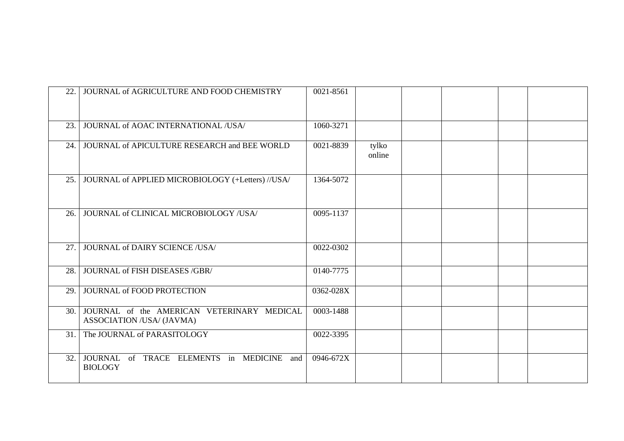| 22. | JOURNAL of AGRICULTURE AND FOOD CHEMISTRY                               | 0021-8561 |                 |  |  |
|-----|-------------------------------------------------------------------------|-----------|-----------------|--|--|
| 23. | JOURNAL of AOAC INTERNATIONAL /USA/                                     | 1060-3271 |                 |  |  |
| 24. | JOURNAL of APICULTURE RESEARCH and BEE WORLD                            | 0021-8839 | tylko<br>online |  |  |
| 25. | JOURNAL of APPLIED MICROBIOLOGY (+Letters) //USA/                       | 1364-5072 |                 |  |  |
| 26. | JOURNAL of CLINICAL MICROBIOLOGY /USA/                                  | 0095-1137 |                 |  |  |
| 27. | JOURNAL of DAIRY SCIENCE /USA/                                          | 0022-0302 |                 |  |  |
| 28. | JOURNAL of FISH DISEASES /GBR/                                          | 0140-7775 |                 |  |  |
| 29. | JOURNAL of FOOD PROTECTION                                              | 0362-028X |                 |  |  |
| 30. | JOURNAL of the AMERICAN VETERINARY MEDICAL<br>ASSOCIATION /USA/ (JAVMA) | 0003-1488 |                 |  |  |
| 31. | The JOURNAL of PARASITOLOGY                                             | 0022-3395 |                 |  |  |
| 32. | JOURNAL of TRACE ELEMENTS in MEDICINE and<br><b>BIOLOGY</b>             | 0946-672X |                 |  |  |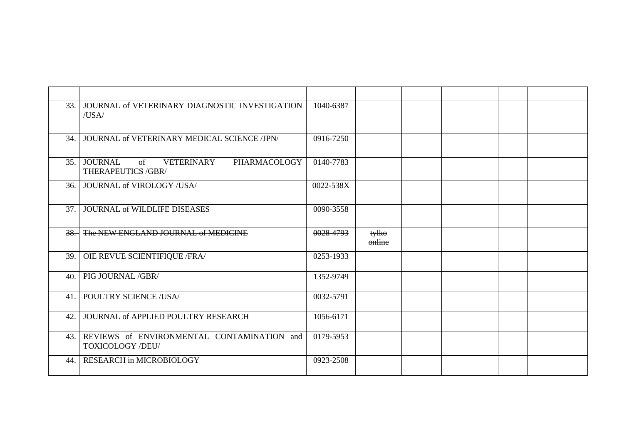| 33.  | JOURNAL of VETERINARY DIAGNOSTIC INVESTIGATION<br>/USA/                  | 1040-6387 |                 |  |  |
|------|--------------------------------------------------------------------------|-----------|-----------------|--|--|
| 34.  | JOURNAL of VETERINARY MEDICAL SCIENCE /JPN/                              | 0916-7250 |                 |  |  |
| 35.1 | VETERINARY<br><b>JOURNAL</b><br>of<br>PHARMACOLOGY<br>THERAPEUTICS /GBR/ | 0140-7783 |                 |  |  |
| 36.1 | JOURNAL of VIROLOGY /USA/                                                | 0022-538X |                 |  |  |
| 37.  | <b>JOURNAL of WILDLIFE DISEASES</b>                                      | 0090-3558 |                 |  |  |
|      | 38. The NEW ENGLAND JOURNAL of MEDICINE                                  | 0028-4793 | tylko<br>online |  |  |
| 39.  | OIE REVUE SCIENTIFIQUE / FRA/                                            | 0253-1933 |                 |  |  |
| 40.  | PIG JOURNAL /GBR/                                                        | 1352-9749 |                 |  |  |
| 41.  | POULTRY SCIENCE /USA/                                                    | 0032-5791 |                 |  |  |
| 42.  | JOURNAL of APPLIED POULTRY RESEARCH                                      | 1056-6171 |                 |  |  |
| 43.  | REVIEWS of ENVIRONMENTAL CONTAMINATION and<br>TOXICOLOGY /DEU/           | 0179-5953 |                 |  |  |
| 44.  | <b>RESEARCH in MICROBIOLOGY</b>                                          | 0923-2508 |                 |  |  |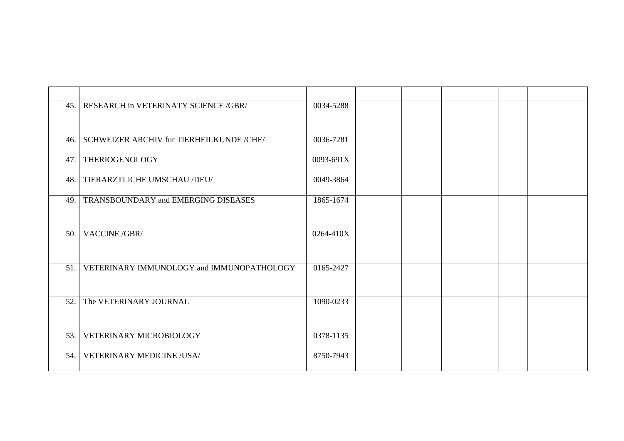| 45.  | RESEARCH in VETERINATY SCIENCE /GBR/       | 0034-5288 |  |  |  |
|------|--------------------------------------------|-----------|--|--|--|
| 46.  | SCHWEIZER ARCHIV fur TIERHEILKUNDE /CHE/   | 0036-7281 |  |  |  |
| 47.  | THERIOGENOLOGY                             | 0093-691X |  |  |  |
| 48.  | TIERARZTLICHE UMSCHAU /DEU/                | 0049-3864 |  |  |  |
| 49.  | <b>TRANSBOUNDARY and EMERGING DISEASES</b> | 1865-1674 |  |  |  |
| 50.  | VACCINE /GBR/                              | 0264-410X |  |  |  |
| 51.1 | VETERINARY IMMUNOLOGY and IMMUNOPATHOLOGY  | 0165-2427 |  |  |  |
| 52.  | The VETERINARY JOURNAL                     | 1090-0233 |  |  |  |
| 53.  | VETERINARY MICROBIOLOGY                    | 0378-1135 |  |  |  |
| 54.  | <b>VETERINARY MEDICINE /USA/</b>           | 8750-7943 |  |  |  |